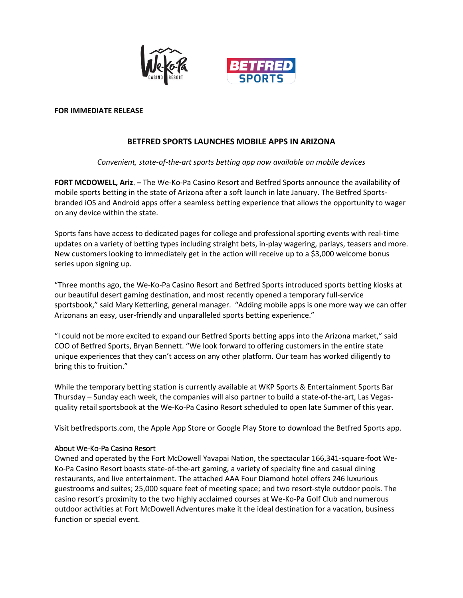

#### **FOR IMMEDIATE RELEASE**

# **BETFRED SPORTS LAUNCHES MOBILE APPS IN ARIZONA**

## *Convenient, state-of-the-art sports betting app now available on mobile devices*

**FORT MCDOWELL, Ariz**. – The We-Ko-Pa Casino Resort and Betfred Sports announce the availability of mobile sports betting in the state of Arizona after a soft launch in late January. The Betfred Sportsbranded iOS and Android apps offer a seamless betting experience that allows the opportunity to wager on any device within the state.

Sports fans have access to dedicated pages for college and professional sporting events with real-time updates on a variety of betting types including straight bets, in-play wagering, parlays, teasers and more. New customers looking to immediately get in the action will receive up to a \$3,000 welcome bonus series upon signing up.

"Three months ago, the We-Ko-Pa Casino Resort and Betfred Sports introduced sports betting kiosks at our beautiful desert gaming destination, and most recently opened a temporary full-service sportsbook," said Mary Ketterling, general manager. "Adding mobile apps is one more way we can offer Arizonans an easy, user-friendly and unparalleled sports betting experience."

"I could not be more excited to expand our Betfred Sports betting apps into the Arizona market," said COO of Betfred Sports, Bryan Bennett. "We look forward to offering customers in the entire state unique experiences that they can't access on any other platform. Our team has worked diligently to bring this to fruition."

While the temporary betting station is currently available at WKP Sports & Entertainment Sports Bar Thursday – Sunday each week, the companies will also partner to build a state-of-the-art, Las Vegasquality retail sportsbook at the We-Ko-Pa Casino Resort scheduled to open late Summer of this year.

Visit betfredsports.com, the Apple App Store or Google Play Store to download the Betfred Sports app.

## About We-Ko-Pa Casino Resort

Owned and operated by the Fort McDowell Yavapai Nation, the spectacular 166,341-square-foot We-Ko-Pa Casino Resort boasts state-of-the-art gaming, a variety of specialty fine and casual dining restaurants, and live entertainment. The attached AAA Four Diamond hotel offers 246 luxurious guestrooms and suites; 25,000 square feet of meeting space; and two resort-style outdoor pools. The casino resort's proximity to the two highly acclaimed courses at We-Ko-Pa Golf Club and numerous outdoor activities at Fort McDowell Adventures make it the ideal destination for a vacation, business function or special event.